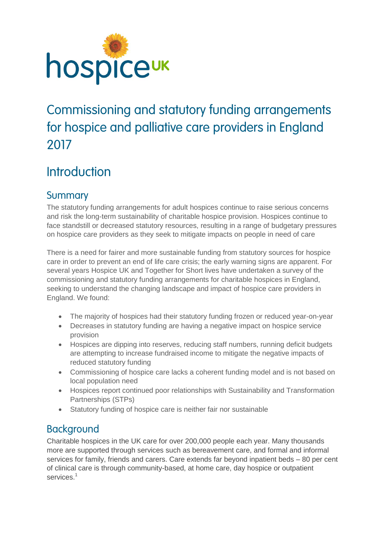

# [Commissioning and statutory funding arrangements](https://www.surveymonkey.com/summary/OTQCZ2S8qbcLXPBQqgBxReONLfCDBgSSU7j2g8fg3uit4jqUm4TcQ7ufGn0xjqEt)  [for hospice and palliative care providers in England](https://www.surveymonkey.com/summary/OTQCZ2S8qbcLXPBQqgBxReONLfCDBgSSU7j2g8fg3uit4jqUm4TcQ7ufGn0xjqEt) [2017](https://www.surveymonkey.com/summary/OTQCZ2S8qbcLXPBQqgBxReONLfCDBgSSU7j2g8fg3uit4jqUm4TcQ7ufGn0xjqEt)

# **Introduction**

# **Summary**

The statutory funding arrangements for adult hospices continue to raise serious concerns and risk the long-term sustainability of charitable hospice provision. Hospices continue to face standstill or decreased statutory resources, resulting in a range of budgetary pressures on hospice care providers as they seek to mitigate impacts on people in need of care

There is a need for fairer and more sustainable funding from statutory sources for hospice care in order to prevent an end of life care crisis; the early warning signs are apparent. For several years Hospice UK and Together for Short lives have undertaken a survey of the commissioning and statutory funding arrangements for charitable hospices in England, seeking to understand the changing landscape and impact of hospice care providers in England. We found:

- The majority of hospices had their statutory funding frozen or reduced year-on-year
- Decreases in statutory funding are having a negative impact on hospice service provision
- Hospices are dipping into reserves, reducing staff numbers, running deficit budgets are attempting to increase fundraised income to mitigate the negative impacts of reduced statutory funding
- Commissioning of hospice care lacks a coherent funding model and is not based on local population need
- Hospices report continued poor relationships with Sustainability and Transformation Partnerships (STPs)
- Statutory funding of hospice care is neither fair nor sustainable

# **Background**

Charitable hospices in the UK care for over 200,000 people each year. Many thousands more are supported through services such as bereavement care, and formal and informal services for family, friends and carers. Care extends far beyond inpatient beds – 80 per cent of clinical care is through community-based, at home care, day hospice or outpatient services.<sup>1</sup>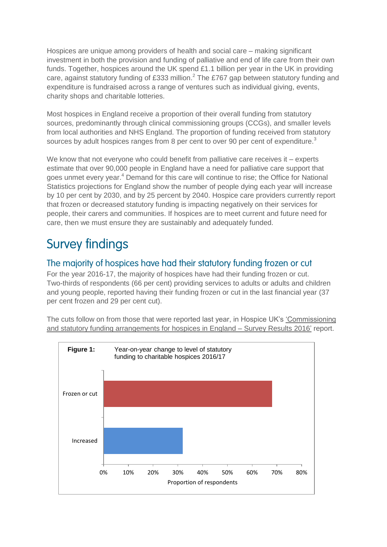Hospices are unique among providers of health and social care – making significant investment in both the provision and funding of palliative and end of life care from their own funds. Together, hospices around the UK spend £1.1 billion per year in the UK in providing care, against statutory funding of £333 million.<sup>2</sup> The £767 gap between statutory funding and expenditure is fundraised across a range of ventures such as individual giving, events, charity shops and charitable lotteries.

Most hospices in England receive a proportion of their overall funding from statutory sources, predominantly through clinical commissioning groups (CCGs), and smaller levels from local authorities and NHS England. The proportion of funding received from statutory sources by adult hospices ranges from 8 per cent to over 90 per cent of expenditure.<sup>3</sup>

We know that not everyone who could benefit from palliative care receives it – experts estimate that over 90,000 people in England have a need for palliative care support that goes unmet every year.<sup>4</sup> Demand for this care will continue to rise; the Office for National Statistics projections for England show the number of people dying each year will increase by 10 per cent by 2030, and by 25 percent by 2040. Hospice care providers currently report that frozen or decreased statutory funding is impacting negatively on their services for people, their carers and communities. If hospices are to meet current and future need for care, then we must ensure they are sustainably and adequately funded.

# Survey findings

## The majority of hospices have had their statutory funding frozen or cut

For the year 2016-17, the majority of hospices have had their funding frozen or cut. Two-thirds of respondents (66 per cent) providing services to adults or adults and children and young people, reported having their funding frozen or cut in the last financial year (37 per cent frozen and 29 per cent cut).

The cuts follow on from those that were reported last year, in Hospice UK's ['Commissioning](https://www.hospiceuk.org/policy-advocacy/briefings-consultations?page=2)  [and statutory funding arrangements for hospices in England –](https://www.hospiceuk.org/policy-advocacy/briefings-consultations?page=2) Survey Results 2016' report.

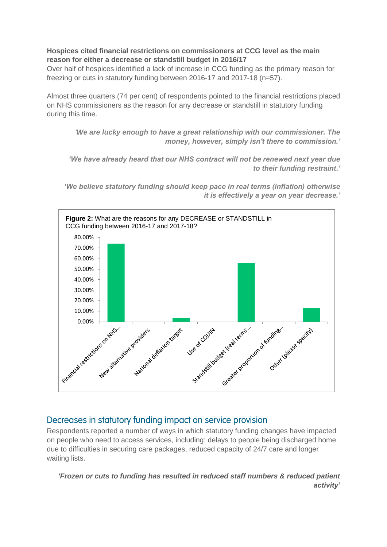#### **Hospices cited financial restrictions on commissioners at CCG level as the main reason for either a decrease or standstill budget in 2016/17**

Over half of hospices identified a lack of increase in CCG funding as the primary reason for freezing or cuts in statutory funding between 2016-17 and 2017-18 (n=57).

Almost three quarters (74 per cent) of respondents pointed to the financial restrictions placed on NHS commissioners as the reason for any decrease or standstill in statutory funding during this time.

*'We are lucky enough to have a great relationship with our commissioner. The money, however, simply isn't there to commission.'*

*'We have already heard that our NHS contract will not be renewed next year due to their funding restraint.'*

*'We believe statutory funding should keep pace in real terms (inflation) otherwise it is effectively a year on year decrease.'*



### Decreases in statutory funding impact on service provision

Respondents reported a number of ways in which statutory funding changes have impacted on people who need to access services, including: delays to people being discharged home due to difficulties in securing care packages, reduced capacity of 24/7 care and longer waiting lists.

*'Frozen or cuts to funding has resulted in reduced staff numbers & reduced patient activity'*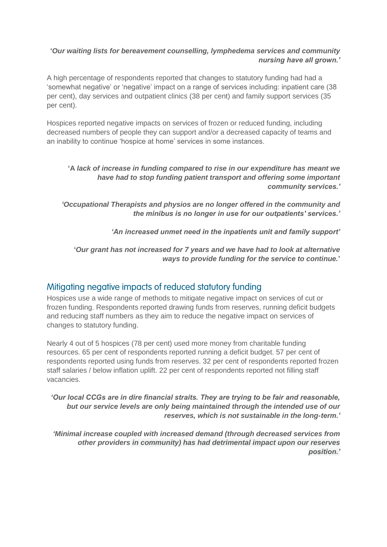#### **'***Our waiting lists for bereavement counselling, lymphedema services and community nursing have all grown.'*

A high percentage of respondents reported that changes to statutory funding had had a 'somewhat negative' or 'negative' impact on a range of services including: inpatient care (38 per cent), day services and outpatient clinics (38 per cent) and family support services (35 per cent).

Hospices reported negative impacts on services of frozen or reduced funding, including decreased numbers of people they can support and/or a decreased capacity of teams and an inability to continue 'hospice at home' services in some instances.

#### **'A** *lack of increase in funding compared to rise in our expenditure has meant we have had to stop funding patient transport and offering some important community services.'*

*'Occupational Therapists and physios are no longer offered in the community and the minibus is no longer in use for our outpatients' services.'*

*'An increased unmet need in the inpatients unit and family support'*

#### **'***Our grant has not increased for 7 years and we have had to look at alternative ways to provide funding for the service to continue.***'**

### Mitigating negative impacts of reduced statutory funding

Hospices use a wide range of methods to mitigate negative impact on services of cut or frozen funding. Respondents reported drawing funds from reserves, running deficit budgets and reducing staff numbers as they aim to reduce the negative impact on services of changes to statutory funding.

Nearly 4 out of 5 hospices (78 per cent) used more money from charitable funding resources. 65 per cent of respondents reported running a deficit budget. 57 per cent of respondents reported using funds from reserves. 32 per cent of respondents reported frozen staff salaries / below inflation uplift. 22 per cent of respondents reported not filling staff vacancies.

#### *'Our local CCGs are in dire financial straits. They are trying to be fair and reasonable, but our service levels are only being maintained through the intended use of our reserves, which is not sustainable in the long-term.'*

*'Minimal increase coupled with increased demand (through decreased services from other providers in community) has had detrimental impact upon our reserves position.'*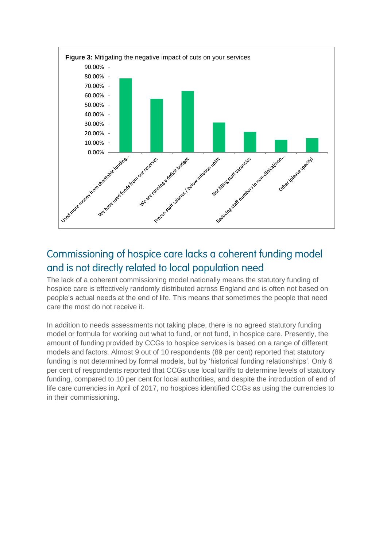

# Commissioning of hospice care lacks a coherent funding model and is not directly related to local population need

The lack of a coherent commissioning model nationally means the statutory funding of hospice care is effectively randomly distributed across England and is often not based on people's actual needs at the end of life. This means that sometimes the people that need care the most do not receive it.

In addition to needs assessments not taking place, there is no agreed statutory funding model or formula for working out what to fund, or not fund, in hospice care. Presently, the amount of funding provided by CCGs to hospice services is based on a range of different models and factors. Almost 9 out of 10 respondents (89 per cent) reported that statutory funding is not determined by formal models, but by 'historical funding relationships'. Only 6 per cent of respondents reported that CCGs use local tariffs to determine levels of statutory funding, compared to 10 per cent for local authorities, and despite the introduction of end of life care currencies in April of 2017, no hospices identified CCGs as using the currencies to in their commissioning.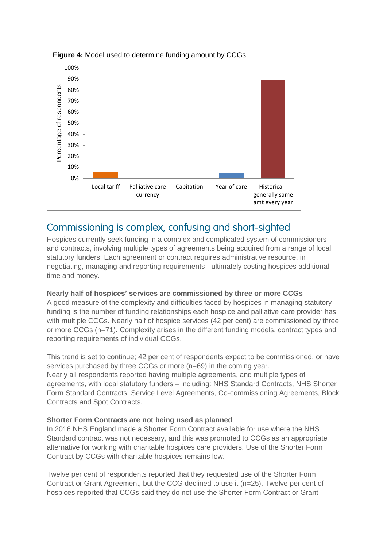

## Commissioning is complex, confusing and short-sighted

Hospices currently seek funding in a complex and complicated system of commissioners and contracts, involving multiple types of agreements being acquired from a range of local statutory funders. Each agreement or contract requires administrative resource, in negotiating, managing and reporting requirements - ultimately costing hospices additional time and money.

#### **Nearly half of hospices' services are commissioned by three or more CCGs**

A good measure of the complexity and difficulties faced by hospices in managing statutory funding is the number of funding relationships each hospice and palliative care provider has with multiple CCGs. Nearly half of hospice services (42 per cent) are commissioned by three or more CCGs (n=71). Complexity arises in the different funding models, contract types and reporting requirements of individual CCGs.

This trend is set to continue; 42 per cent of respondents expect to be commissioned, or have services purchased by three CCGs or more (n=69) in the coming year. Nearly all respondents reported having multiple agreements, and multiple types of agreements, with local statutory funders – including: NHS Standard Contracts, NHS Shorter Form Standard Contracts, Service Level Agreements, Co-commissioning Agreements, Block Contracts and Spot Contracts.

#### **Shorter Form Contracts are not being used as planned**

In 2016 NHS England made a Shorter Form Contract available for use where the NHS Standard contract was not necessary, and this was promoted to CCGs as an appropriate alternative for working with charitable hospices care providers. Use of the Shorter Form Contract by CCGs with charitable hospices remains low.

Twelve per cent of respondents reported that they requested use of the Shorter Form Contract or Grant Agreement, but the CCG declined to use it (n=25). Twelve per cent of hospices reported that CCGs said they do not use the Shorter Form Contract or Grant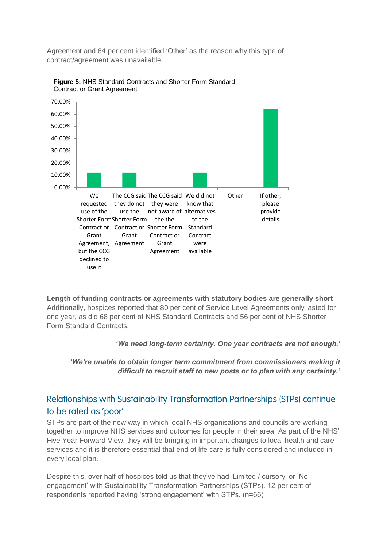

Agreement and 64 per cent identified 'Other' as the reason why this type of contract/agreement was unavailable.

**Length of funding contracts or agreements with statutory bodies are generally short**  Additionally, hospices reported that 80 per cent of Service Level Agreements only lasted for one year, as did 68 per cent of NHS Standard Contracts and 56 per cent of NHS Shorter Form Standard Contracts.

*'We need long-term certainty. One year contracts are not enough.'*

*'We're unable to obtain longer term commitment from commissioners making it difficult to recruit staff to new posts or to plan with any certainty.'*

## Relationships with Sustainability Transformation Partnerships (STPs) continue to be rated as 'poor'

STPs are part of the new way in which local NHS organisations and councils are working together to improve NHS services and outcomes for people in their area. As part of [the NHS'](https://www.england.nhs.uk/publication/nhs-five-year-forward-view/)  [Five Year Forward View,](https://www.england.nhs.uk/publication/nhs-five-year-forward-view/) they will be bringing in important changes to local health and care services and it is therefore essential that end of life care is fully considered and included in every local plan.

Despite this, over half of hospices told us that they've had 'Limited / cursory' or 'No engagement' with Sustainability Transformation Partnerships (STPs). 12 per cent of respondents reported having 'strong engagement' with STPs. (n=66)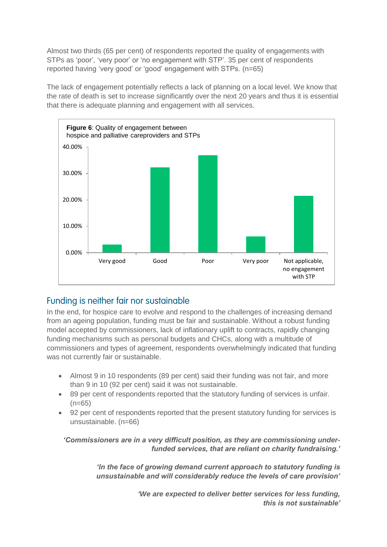Almost two thirds (65 per cent) of respondents reported the quality of engagements with STPs as 'poor', 'very poor' or 'no engagement with STP'. 35 per cent of respondents reported having 'very good' or 'good' engagement with STPs. (n=65)

The lack of engagement potentially reflects a lack of planning on a local level. We know that the rate of death is set to increase significantly over the next 20 years and thus it is essential that there is adequate planning and engagement with all services.



## Funding is neither fair nor sustainable

In the end, for hospice care to evolve and respond to the challenges of increasing demand from an ageing population, funding must be fair and sustainable. Without a robust funding model accepted by commissioners, lack of inflationary uplift to contracts, rapidly changing funding mechanisms such as personal budgets and CHCs, along with a multitude of commissioners and types of agreement, respondents overwhelmingly indicated that funding was not currently fair or sustainable.

- Almost 9 in 10 respondents (89 per cent) said their funding was not fair, and more than 9 in 10 (92 per cent) said it was not sustainable.
- 89 per cent of respondents reported that the statutory funding of services is unfair.  $(n=65)$
- 92 per cent of respondents reported that the present statutory funding for services is unsustainable. (n=66)

*'Commissioners are in a very difficult position, as they are commissioning underfunded services, that are reliant on charity fundraising.'*

> *'In the face of growing demand current approach to statutory funding is unsustainable and will considerably reduce the levels of care provision'*

> > *'We are expected to deliver better services for less funding, this is not sustainable'*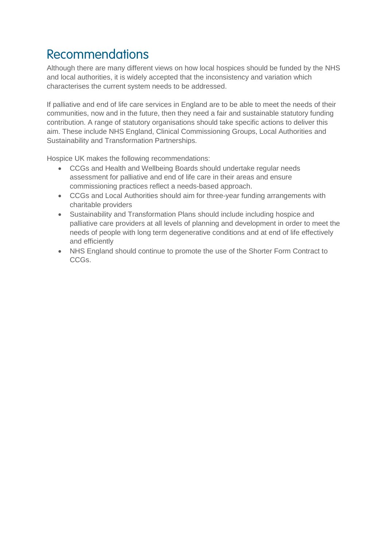# Recommendations

Although there are many different views on how local hospices should be funded by the NHS and local authorities, it is widely accepted that the inconsistency and variation which characterises the current system needs to be addressed.

If palliative and end of life care services in England are to be able to meet the needs of their communities, now and in the future, then they need a fair and sustainable statutory funding contribution. A range of statutory organisations should take specific actions to deliver this aim. These include NHS England, Clinical Commissioning Groups, Local Authorities and Sustainability and Transformation Partnerships.

Hospice UK makes the following recommendations:

- CCGs and Health and Wellbeing Boards should undertake regular needs assessment for palliative and end of life care in their areas and ensure commissioning practices reflect a needs-based approach.
- CCGs and Local Authorities should aim for three-year funding arrangements with charitable providers
- Sustainability and Transformation Plans should include including hospice and palliative care providers at all levels of planning and development in order to meet the needs of people with long term degenerative conditions and at end of life effectively and efficiently
- NHS England should continue to promote the use of the Shorter Form Contract to CCGs.